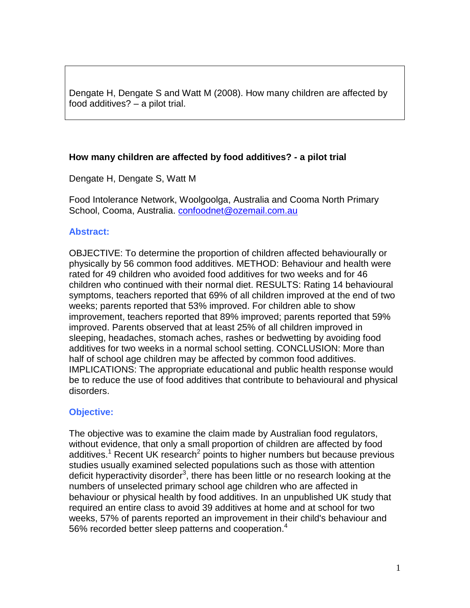Dengate H, Dengate S and Watt M (2008). How many children are affected by food additives? – a pilot trial.

## **How many children are affected by food additives? - a pilot trial**

Dengate H, Dengate S, Watt M

Food Intolerance Network, Woolgoolga, Australia and Cooma North Primary School, Cooma, Australia. [confoodnet@ozemail.com.au](mailto:confoodnet@ozemail.com.au)

## **Abstract:**

OBJECTIVE: To determine the proportion of children affected behaviourally or physically by 56 common food additives. METHOD: Behaviour and health were rated for 49 children who avoided food additives for two weeks and for 46 children who continued with their normal diet. RESULTS: Rating 14 behavioural symptoms, teachers reported that 69% of all children improved at the end of two weeks; parents reported that 53% improved. For children able to show improvement, teachers reported that 89% improved; parents reported that 59% improved. Parents observed that at least 25% of all children improved in sleeping, headaches, stomach aches, rashes or bedwetting by avoiding food additives for two weeks in a normal school setting. CONCLUSION: More than half of school age children may be affected by common food additives. IMPLICATIONS: The appropriate educational and public health response would be to reduce the use of food additives that contribute to behavioural and physical disorders.

# **Objective:**

The objective was to examine the claim made by Australian food regulators, without evidence, that only a small proportion of children are affected by food additives.<sup>1</sup> Recent UK research<sup>2</sup> points to higher numbers but because previous studies usually examined selected populations such as those with attention deficit hyperactivity disorder<sup>3</sup>, there has been little or no research looking at the numbers of unselected primary school age children who are affected in behaviour or physical health by food additives. In an unpublished UK study that required an entire class to avoid 39 additives at home and at school for two weeks, 57% of parents reported an improvement in their child's behaviour and 56% recorded better sleep patterns and cooperation.<sup>4</sup>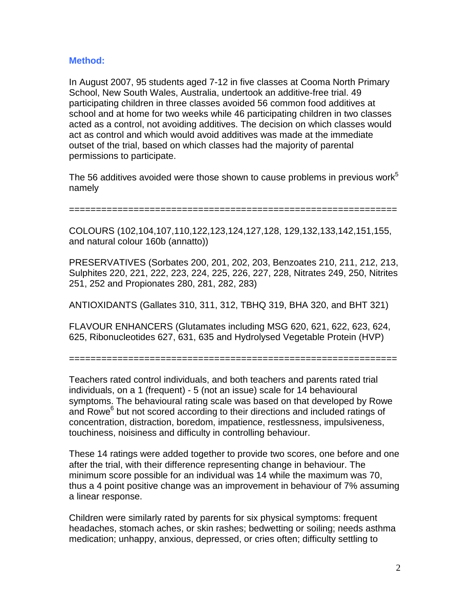### **Method:**

In August 2007, 95 students aged 7-12 in five classes at Cooma North Primary School, New South Wales, Australia, undertook an additive-free trial. 49 participating children in three classes avoided 56 common food additives at school and at home for two weeks while 46 participating children in two classes acted as a control, not avoiding additives. The decision on which classes would act as control and which would avoid additives was made at the immediate outset of the trial, based on which classes had the majority of parental permissions to participate.

The 56 additives avoided were those shown to cause problems in previous work $5$ namely

=============================================================

COLOURS (102,104,107,110,122,123,124,127,128, 129,132,133,142,151,155, and natural colour 160b (annatto))

PRESERVATIVES (Sorbates 200, 201, 202, 203, Benzoates 210, 211, 212, 213, Sulphites 220, 221, 222, 223, 224, 225, 226, 227, 228, Nitrates 249, 250, Nitrites 251, 252 and Propionates 280, 281, 282, 283)

ANTIOXIDANTS (Gallates 310, 311, 312, TBHQ 319, BHA 320, and BHT 321)

FLAVOUR ENHANCERS (Glutamates including MSG 620, 621, 622, 623, 624, 625, Ribonucleotides 627, 631, 635 and Hydrolysed Vegetable Protein (HVP)

=============================================================

Teachers rated control individuals, and both teachers and parents rated trial individuals, on a 1 (frequent) - 5 (not an issue) scale for 14 behavioural symptoms. The behavioural rating scale was based on that developed by Rowe and Rowe<sup>6</sup> but not scored according to their directions and included ratings of concentration, distraction, boredom, impatience, restlessness, impulsiveness, touchiness, noisiness and difficulty in controlling behaviour.

These 14 ratings were added together to provide two scores, one before and one after the trial, with their difference representing change in behaviour. The minimum score possible for an individual was 14 while the maximum was 70, thus a 4 point positive change was an improvement in behaviour of 7% assuming a linear response.

Children were similarly rated by parents for six physical symptoms: frequent headaches, stomach aches, or skin rashes; bedwetting or soiling; needs asthma medication; unhappy, anxious, depressed, or cries often; difficulty settling to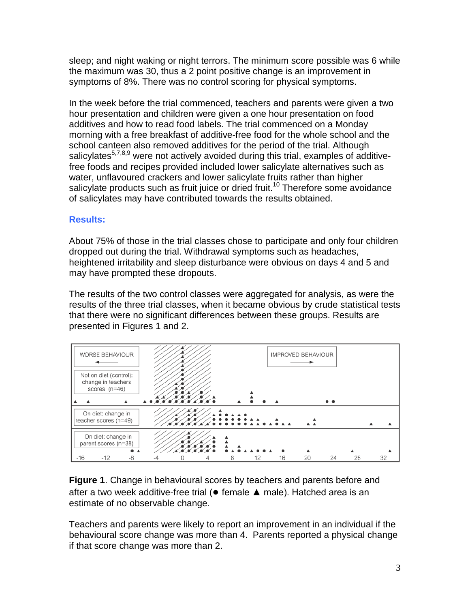sleep; and night waking or night terrors. The minimum score possible was 6 while the maximum was 30, thus a 2 point positive change is an improvement in symptoms of 8%. There was no control scoring for physical symptoms.

In the week before the trial commenced, teachers and parents were given a two hour presentation and children were given a one hour presentation on food additives and how to read food labels. The trial commenced on a Monday morning with a free breakfast of additive-free food for the whole school and the school canteen also removed additives for the period of the trial. Although salicylates<sup>5,7,8,9</sup> were not actively avoided during this trial, examples of additivefree foods and recipes provided included lower salicylate alternatives such as water, unflavoured crackers and lower salicylate fruits rather than higher salicylate products such as fruit juice or dried fruit.<sup>10</sup> Therefore some avoidance of salicylates may have contributed towards the results obtained.

# **Results:**

About 75% of those in the trial classes chose to participate and only four children dropped out during the trial. Withdrawal symptoms such as headaches, heightened irritability and sleep disturbance were obvious on days 4 and 5 and may have prompted these dropouts.

The results of the two control classes were aggregated for analysis, as were the results of the three trial classes, when it became obvious by crude statistical tests that there were no significant differences between these groups. Results are presented in Figures 1 and 2.



**Figure 1**. Change in behavioural scores by teachers and parents before and after a two week additive-free trial (● female ▲ male). Hatched area is an estimate of no observable change.

Teachers and parents were likely to report an improvement in an individual if the behavioural score change was more than 4. Parents reported a physical change if that score change was more than 2.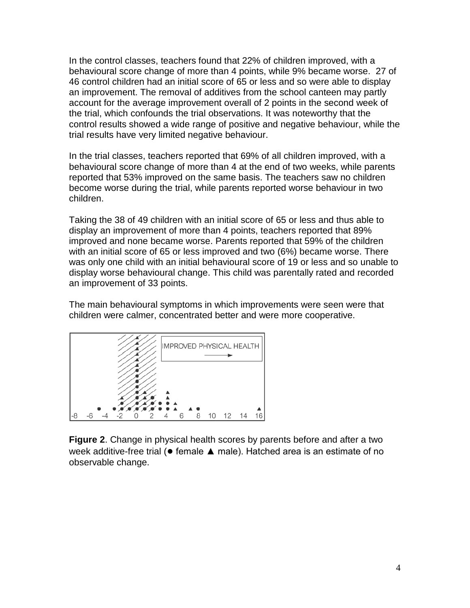In the control classes, teachers found that 22% of children improved, with a behavioural score change of more than 4 points, while 9% became worse. 27 of 46 control children had an initial score of 65 or less and so were able to display an improvement. The removal of additives from the school canteen may partly account for the average improvement overall of 2 points in the second week of the trial, which confounds the trial observations. It was noteworthy that the control results showed a wide range of positive and negative behaviour, while the trial results have very limited negative behaviour.

In the trial classes, teachers reported that 69% of all children improved, with a behavioural score change of more than 4 at the end of two weeks, while parents reported that 53% improved on the same basis. The teachers saw no children become worse during the trial, while parents reported worse behaviour in two children.

Taking the 38 of 49 children with an initial score of 65 or less and thus able to display an improvement of more than 4 points, teachers reported that 89% improved and none became worse. Parents reported that 59% of the children with an initial score of 65 or less improved and two (6%) became worse. There was only one child with an initial behavioural score of 19 or less and so unable to display worse behavioural change. This child was parentally rated and recorded an improvement of 33 points.

The main behavioural symptoms in which improvements were seen were that children were calmer, concentrated better and were more cooperative.



**Figure 2**. Change in physical health scores by parents before and after a two week additive-free trial (● female ▲ male). Hatched area is an estimate of no observable change.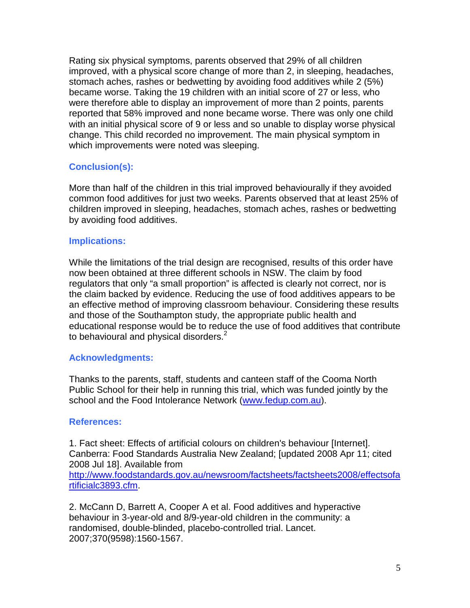Rating six physical symptoms, parents observed that 29% of all children improved, with a physical score change of more than 2, in sleeping, headaches, stomach aches, rashes or bedwetting by avoiding food additives while 2 (5%) became worse. Taking the 19 children with an initial score of 27 or less, who were therefore able to display an improvement of more than 2 points, parents reported that 58% improved and none became worse. There was only one child with an initial physical score of 9 or less and so unable to display worse physical change. This child recorded no improvement. The main physical symptom in which improvements were noted was sleeping.

# **Conclusion(s):**

More than half of the children in this trial improved behaviourally if they avoided common food additives for just two weeks. Parents observed that at least 25% of children improved in sleeping, headaches, stomach aches, rashes or bedwetting by avoiding food additives.

### **Implications:**

While the limitations of the trial design are recognised, results of this order have now been obtained at three different schools in NSW. The claim by food regulators that only "a small proportion" is affected is clearly not correct, nor is the claim backed by evidence. Reducing the use of food additives appears to be an effective method of improving classroom behaviour. Considering these results and those of the Southampton study, the appropriate public health and educational response would be to reduce the use of food additives that contribute to behavioural and physical disorders.<sup>2</sup>

#### **Acknowledgments:**

Thanks to the parents, staff, students and canteen staff of the Cooma North Public School for their help in running this trial, which was funded jointly by the school and the Food Intolerance Network [\(www.fedup.com.au\)](http://www.fedup.com.au/).

#### **References:**

1. Fact sheet: Effects of artificial colours on children's behaviour [Internet]. Canberra: Food Standards Australia New Zealand; [updated 2008 Apr 11; cited 2008 Jul 18]. Available from

[http://www.foodstandards.gov.au/newsroom/factsheets/factsheets2008/effectsofa](http://www.foodstandards.gov.au/newsroom/factsheets/factsheets2008/effectsofartificialc3893.cfm) [rtificialc3893.cfm.](http://www.foodstandards.gov.au/newsroom/factsheets/factsheets2008/effectsofartificialc3893.cfm)

2. McCann D, Barrett A, Cooper A et al. Food additives and hyperactive behaviour in 3-year-old and 8/9-year-old children in the community: a randomised, double-blinded, placebo-controlled trial. Lancet. 2007;370(9598):1560-1567.